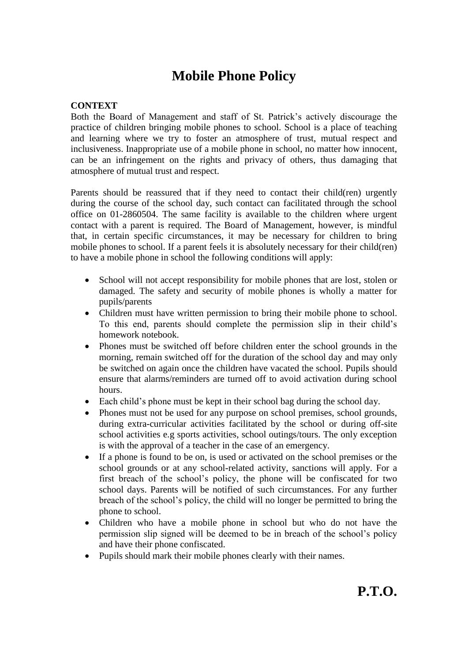## **Mobile Phone Policy**

## **CONTEXT**

Both the Board of Management and staff of St. Patrick's actively discourage the practice of children bringing mobile phones to school. School is a place of teaching and learning where we try to foster an atmosphere of trust, mutual respect and inclusiveness. Inappropriate use of a mobile phone in school, no matter how innocent, can be an infringement on the rights and privacy of others, thus damaging that atmosphere of mutual trust and respect.

Parents should be reassured that if they need to contact their child(ren) urgently during the course of the school day, such contact can facilitated through the school office on 01-2860504. The same facility is available to the children where urgent contact with a parent is required. The Board of Management, however, is mindful that, in certain specific circumstances, it may be necessary for children to bring mobile phones to school. If a parent feels it is absolutely necessary for their child(ren) to have a mobile phone in school the following conditions will apply:

- School will not accept responsibility for mobile phones that are lost, stolen or damaged. The safety and security of mobile phones is wholly a matter for pupils/parents
- Children must have written permission to bring their mobile phone to school. To this end, parents should complete the permission slip in their child's homework notebook.
- Phones must be switched off before children enter the school grounds in the morning, remain switched off for the duration of the school day and may only be switched on again once the children have vacated the school. Pupils should ensure that alarms/reminders are turned off to avoid activation during school hours.
- Each child's phone must be kept in their school bag during the school day.
- Phones must not be used for any purpose on school premises, school grounds, during extra-curricular activities facilitated by the school or during off-site school activities e.g sports activities, school outings/tours. The only exception is with the approval of a teacher in the case of an emergency.
- If a phone is found to be on, is used or activated on the school premises or the school grounds or at any school-related activity, sanctions will apply. For a first breach of the school's policy, the phone will be confiscated for two school days. Parents will be notified of such circumstances. For any further breach of the school's policy, the child will no longer be permitted to bring the phone to school.
- Children who have a mobile phone in school but who do not have the permission slip signed will be deemed to be in breach of the school's policy and have their phone confiscated.
- Pupils should mark their mobile phones clearly with their names.